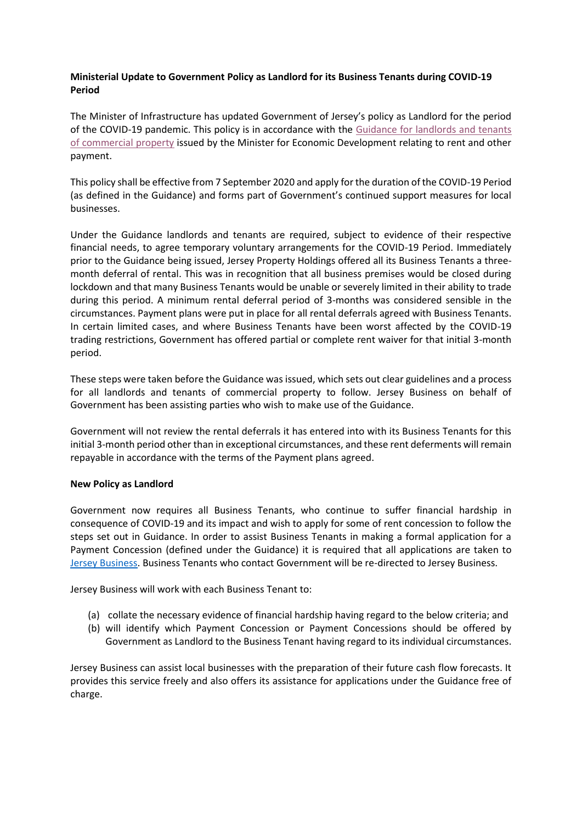## **Ministerial Update to Government Policy as Landlord for its Business Tenants during COVID-19 Period**

The Minister of Infrastructure has updated Government of Jersey's policy as Landlord for the period of the COVID-19 pandemic. This policy is in accordance with the [Guidance for landlords and tenants](http://www.gov.je/SiteCollectionDocuments/Industry%20and%20finance/ID%20Guidance%20Commercial%20Property.pdf)  [of commercial property](http://www.gov.je/SiteCollectionDocuments/Industry%20and%20finance/ID%20Guidance%20Commercial%20Property.pdf) issued by the Minister for Economic Development relating to rent and other payment.

This policy shall be effective from 7 September 2020 and apply for the duration of the COVID-19 Period (as defined in the Guidance) and forms part of Government's continued support measures for local businesses.

Under the Guidance landlords and tenants are required, subject to evidence of their respective financial needs, to agree temporary voluntary arrangements for the COVID-19 Period. Immediately prior to the Guidance being issued, Jersey Property Holdings offered all its Business Tenants a threemonth deferral of rental. This was in recognition that all business premises would be closed during lockdown and that many Business Tenants would be unable or severely limited in their ability to trade during this period. A minimum rental deferral period of 3-months was considered sensible in the circumstances. Payment plans were put in place for all rental deferrals agreed with Business Tenants. In certain limited cases, and where Business Tenants have been worst affected by the COVID-19 trading restrictions, Government has offered partial or complete rent waiver for that initial 3-month period.

These steps were taken before the Guidance was issued, which sets out clear guidelines and a process for all landlords and tenants of commercial property to follow. Jersey Business on behalf of Government has been assisting parties who wish to make use of the Guidance.

Government will not review the rental deferrals it has entered into with its Business Tenants for this initial 3-month period other than in exceptional circumstances, and these rent deferments will remain repayable in accordance with the terms of the Payment plans agreed.

## **New Policy as Landlord**

Government now requires all Business Tenants, who continue to suffer financial hardship in consequence of COVID-19 and its impact and wish to apply for some of rent concession to follow the steps set out in Guidance. In order to assist Business Tenants in making a formal application for a Payment Concession (defined under the Guidance) it is required that all applications are taken to [Jersey Business.](https://edit.gov.je/Health/Coronavirus/BusinessAndEmployment/Pages/GovernmentSupportForBusinesses.aspxhttps:/www.jerseybusiness.je/) Business Tenants who contact Government will be re-directed to Jersey Business.

Jersey Business will work with each Business Tenant to:

- (a) collate the necessary evidence of financial hardship having regard to the below criteria; and
- (b) will identify which Payment Concession or Payment Concessions should be offered by Government as Landlord to the Business Tenant having regard to its individual circumstances.

Jersey Business can assist local businesses with the preparation of their future cash flow forecasts. It provides this service freely and also offers its assistance for applications under the Guidance free of charge.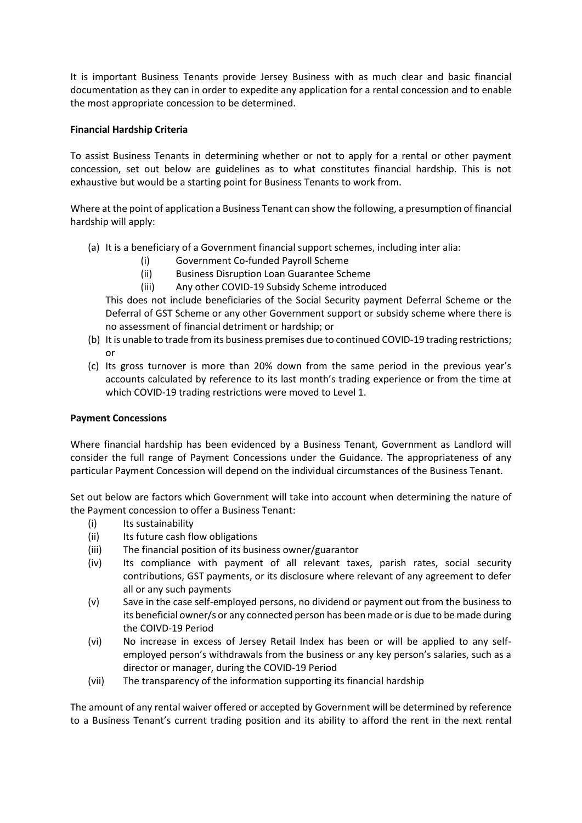It is important Business Tenants provide Jersey Business with as much clear and basic financial documentation as they can in order to expedite any application for a rental concession and to enable the most appropriate concession to be determined.

## **Financial Hardship Criteria**

To assist Business Tenants in determining whether or not to apply for a rental or other payment concession, set out below are guidelines as to what constitutes financial hardship. This is not exhaustive but would be a starting point for Business Tenants to work from.

Where at the point of application a Business Tenant can show the following, a presumption of financial hardship will apply:

- (a) It is a beneficiary of a Government financial support schemes, including inter alia:
	- (i) Government Co-funded Payroll Scheme
	- (ii) Business Disruption Loan Guarantee Scheme
	- (iii) Any other COVID-19 Subsidy Scheme introduced

This does not include beneficiaries of the Social Security payment Deferral Scheme or the Deferral of GST Scheme or any other Government support or subsidy scheme where there is no assessment of financial detriment or hardship; or

- (b) It is unable to trade from its business premises due to continued COVID-19 trading restrictions; or
- (c) Its gross turnover is more than 20% down from the same period in the previous year's accounts calculated by reference to its last month's trading experience or from the time at which COVID-19 trading restrictions were moved to Level 1.

## **Payment Concessions**

Where financial hardship has been evidenced by a Business Tenant, Government as Landlord will consider the full range of Payment Concessions under the Guidance. The appropriateness of any particular Payment Concession will depend on the individual circumstances of the Business Tenant.

Set out below are factors which Government will take into account when determining the nature of the Payment concession to offer a Business Tenant:

- (i) Its sustainability
- (ii) Its future cash flow obligations
- (iii) The financial position of its business owner/guarantor
- (iv) Its compliance with payment of all relevant taxes, parish rates, social security contributions, GST payments, or its disclosure where relevant of any agreement to defer all or any such payments
- (v) Save in the case self-employed persons, no dividend or payment out from the business to its beneficial owner/s or any connected person has been made or is due to be made during the COIVD-19 Period
- (vi) No increase in excess of Jersey Retail Index has been or will be applied to any selfemployed person's withdrawals from the business or any key person's salaries, such as a director or manager, during the COVID-19 Period
- (vii) The transparency of the information supporting its financial hardship

The amount of any rental waiver offered or accepted by Government will be determined by reference to a Business Tenant's current trading position and its ability to afford the rent in the next rental